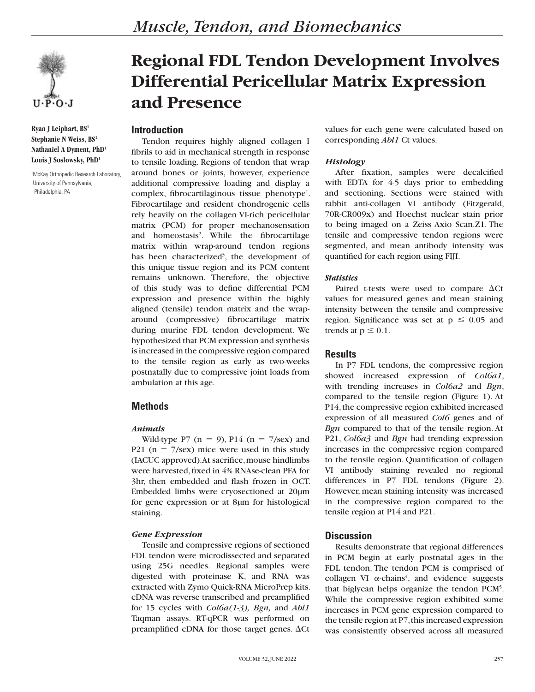

**Ryan J Leiphart, BS1 Stephanie N Weiss, BS1 Nathaniel A Dyment, PhD1 Louis J Soslowsky, PhD1**

1 McKay Orthopedic Research Laboratory, University of Pennsylvania, Philadelphia, PA

# **Regional FDL Tendon Development Involves Differential Pericellular Matrix Expression and Presence**

## **Introduction**

Tendon requires highly aligned collagen I fibrils to aid in mechanical strength in response to tensile loading. Regions of tendon that wrap around bones or joints, however, experience additional compressive loading and display a complex, fibrocartilaginous tissue phenotype<sup>1</sup>. Fibrocartilage and resident chondrogenic cells rely heavily on the collagen VI-rich pericellular matrix (PCM) for proper mechanosensation and homeostasis<sup>2</sup>. While the fibrocartilage matrix within wrap-around tendon regions has been characterized<sup>3</sup>, the development of this unique tissue region and its PCM content remains unknown. Therefore, the objective of this study was to define differential PCM expression and presence within the highly aligned (tensile) tendon matrix and the wraparound (compressive) fibrocartilage matrix during murine FDL tendon development. We hypothesized that PCM expression and synthesis is increased in the compressive region compared to the tensile region as early as two-weeks postnatally due to compressive joint loads from ambulation at this age.

# **Methods**

#### *Animals*

Wild-type P7 (n = 9), P14 (n = 7/sex) and P21 ( $n = 7$ /sex) mice were used in this study (IACUC approved). At sacrifice, mouse hindlimbs were harvested, fixed in 4% RNAse-clean PFA for 3hr, then embedded and flash frozen in OCT. Embedded limbs were cryosectioned at 20µm for gene expression or at 8µm for histological staining.

#### *Gene Expression*

Tensile and compressive regions of sectioned FDL tendon were microdissected and separated using 25G needles. Regional samples were digested with proteinase K, and RNA was extracted with Zymo Quick-RNA MicroPrep kits. cDNA was reverse transcribed and preamplified for 15 cycles with *Col6a(1-3), Bgn,* and *Abl1* Taqman assays. RT-qPCR was performed on preamplified cDNA for those target genes.  $\Delta$ Ct

values for each gene were calculated based on corresponding *Abl1* Ct values.

## *Histology*

After fixation, samples were decalcified with EDTA for 4-5 days prior to embedding and sectioning. Sections were stained with rabbit anti-collagen VI antibody (Fitzgerald, 70R-CR009x) and Hoechst nuclear stain prior to being imaged on a Zeiss Axio Scan.Z1. The tensile and compressive tendon regions were segmented, and mean antibody intensity was quantified for each region using FIJI.

#### *Statistics*

Paired t-tests were used to compare  $\Delta$ Ct values for measured genes and mean staining intensity between the tensile and compressive region. Significance was set at  $p \le 0.05$  and trends at  $p \leq 0.1$ .

# **Results**

In P7 FDL tendons, the compressive region showed increased expression of *Col6a1*, with trending increases in *Col6a2* and *Bgn*, compared to the tensile region (Figure 1). At P14, the compressive region exhibited increased expression of all measured *Col6* genes and of *Bgn* compared to that of the tensile region. At P21, *Col6a3* and *Bgn* had trending expression increases in the compressive region compared to the tensile region. Quantification of collagen VI antibody staining revealed no regional differences in P7 FDL tendons (Figure 2). However, mean staining intensity was increased in the compressive region compared to the tensile region at P14 and P21.

# **Discussion**

Results demonstrate that regional differences in PCM begin at early postnatal ages in the FDL tendon. The tendon PCM is comprised of collagen VI  $\alpha$ -chains<sup>4</sup>, and evidence suggests that biglycan helps organize the tendon PCM<sup>5</sup>. While the compressive region exhibited some increases in PCM gene expression compared to the tensile region at P7, this increased expression was consistently observed across all measured